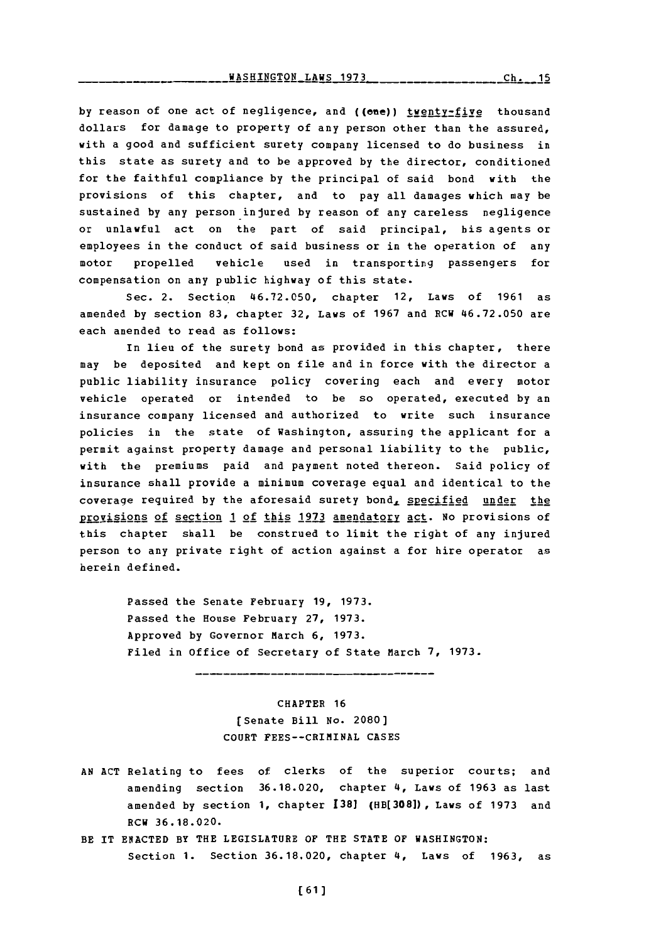by reason of one act of negligence, and ((ene)) twenty-five thousand dollars for damage to property of any person other than the assured, with a good and sufficient surety company licensed to do business in this state as surety and to be approved **by** the director, conditioned for the faithful compliance **by** the principal of said bond with the provisions of this chapter, and to pay all damages which may be sustained **by** any person-injured **by** reason of any careless negligence or unlawful act on the part of said principal, his agents or employees in the conduct of said business or in the operation of any motor propelled vehicle used in transporting passengers for compensation on any public highway of this state.

Sec. 2. Section **46.72.050,** chapter 12, Laws of **1961** as amended **by** section **83,** chapter **32,** Laws of **1967** and RCU **46.72.050** are each amended to read as follows:

In lieu of the surety bond as provided in this chapter, there may be deposited and kept on file and in force with the director a public liability insurance policy covering each and every motor vehicle operated or intended to be so operated, executed **by** an insurance company licensed and authorized to write such insurance policies in the state of Washington, assuring the applicant for a permit against property damage and personal liability to the public, with the premiums paid and payment noted thereon. Said policy of insurance shall provide a minimum coverage equal and identical to the coverage required by the aforesaid surety bond, specified under the provisions of section 1 of this 1973 amendatory act. No provisions of this chapter shall be construed to limit the right of any injured person to any private right of action against a for hire operator as herein defined.

> Passed the Senate February **19, 1973.** Passed the House February **27, 1973.** Approved **by** Governor March **6, 1973.** Filed in office of Secretary of State March **7, 1973.**

> > CHAPTER **16** [Senate Bill No. 2080) **COURT** FEES--CRIMINAL **CASES**

- **AN ACT** Relating to fees of clerks of the superior courts; and amending section **36.18.020,** chapter 4, Laws of **1963** as last amended **by** section **1,** chapter **1381 (HB[308]) ,** Laws of **1973** and ECU **36.18.020.**
- BE IT **ENACTED** BY THE LEGISLATURE OF THE **STATE** OF WASHINGTON: Section **1.** Section **36.18.020,** chapter 4, Laws of **1963,** as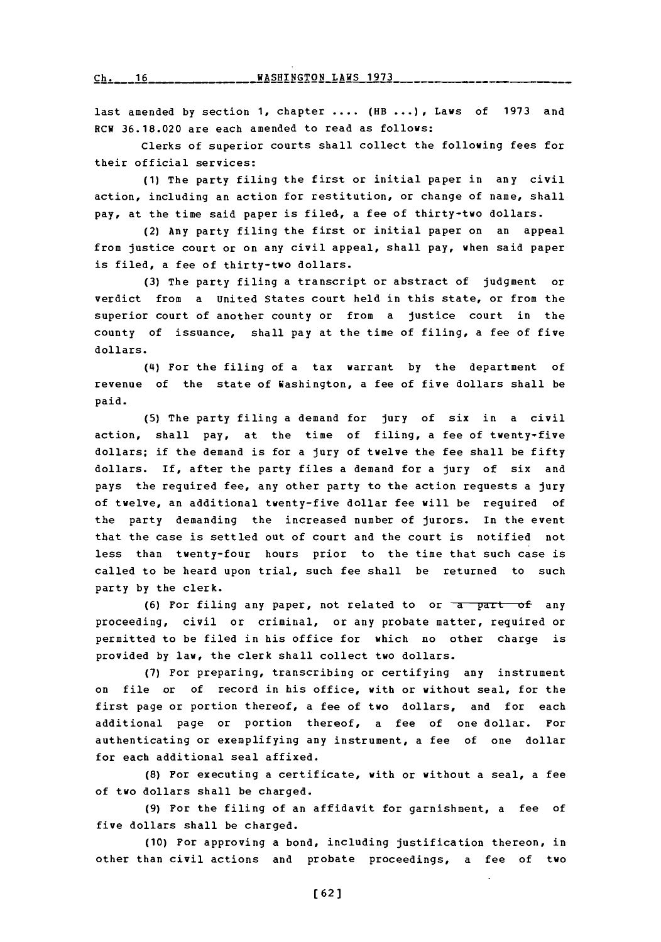**Ch.** 16 *<u><b>WASHINGTON LAWS 1973*</u>

last amended **by** section **1,** chapter **....** (HB **... ),** Laws of **1973** and RCW **36.18.020** are each amended to read as follows:

Clerks of superior courts shall collect the following fees for their official services:

**(1)** The party filing the first or initial paper in any civil action, including an action for restitution, or change of name, shall pay, at the time said paper is filed, a fee of thirty-two dollars.

(2) Any party filing the first or initial paper on an appeal from justice court or on any civil appeal, shall pay, when said paper is filed, a fee of thirty-two dollars.

**(3)** The party filing a transcript or abstract of judgment or verdict from a United States court held in this state, or from the superior court of another county or from a justice court in the county of issuance, shall pay at the time of filing, a fee of five dollars.

(4) For the filing of a tax warrant **by** the department of revenue of the state of Washington, a fee of five dollars shall be paid.

**(5)** The party filing a demand for jury of six in a civil action, shall pay, at the time of filing, a fee of twenty-five dollars; if the demand is for a jury of twelve the fee shall be fifty dollars. If, after the party files a demand for a jury of six and pays the required fee, any other party to the action requests a jury of twelve, an additional twenty-five dollar fee will be required of the party demanding the increased number of jurors. In the event that the case is settled out of court and the court is notified not less than twenty-four hours prior to the time that such case is called to be heard upon trial, such fee shall be returned to such party **by** the clerk.

(6) Por filing any paper, not related to or a part of any proceeding, civil or criminal, or any probate matter, required or permitted to be filed in his office for which no other charge is provided **by** law, the clerk shall collect two dollars.

**(7)** For preparing, transcribing or certifying any instrument on file or of record in his office, with or without seal, for the first page or portion thereof, a fee of two dollars, and for each additional page or portion thereof, a fee of one dollar. For authenticating or exemplifying any instrument, a fee of one dollar for each additional seal affixed.

**(8)** For executing a certificate, with or without a seal, a fee of two dollars shall be charged.

**(9)** For the filing of an affidavit for garnishment, a fee of five dollars shall be charged.

**(10)** For approving a bond, including justification thereon, in other than civil actions and probate proceedings, a fee of two